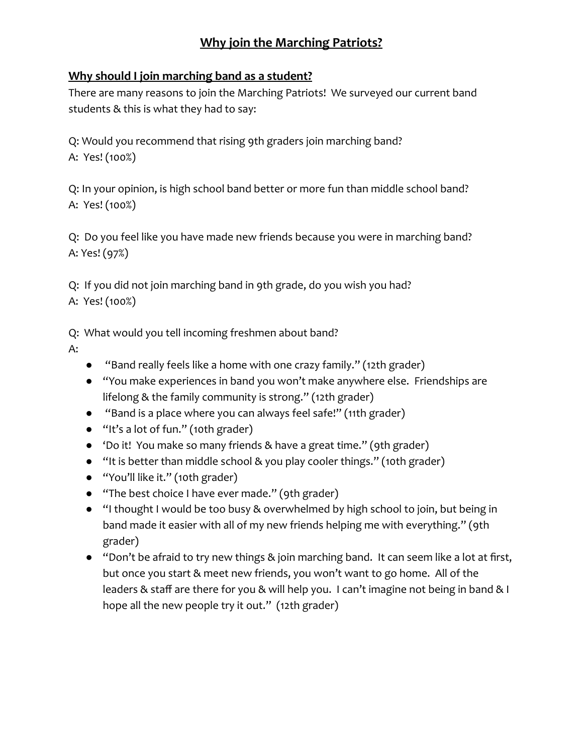## **Why join the Marching Patriots?**

## **Why should I join marching band as a student?**

There are many reasons to join the Marching Patriots! We surveyed our current band students & this is what they had to say:

Q: Would you recommend that rising 9th graders join marching band? A: Yes! (100%)

Q: In your opinion, is high school band better or more fun than middle school band? A: Yes! (100%)

Q: Do you feel like you have made new friends because you were in marching band? A: Yes! (97%)

Q: If you did not join marching band in 9th grade, do you wish you had? A: Yes! (100%)

Q: What would you tell incoming freshmen about band?

- A:
- "Band really feels like a home with one crazy family." (12th grader)
- "You make experiences in band you won't make anywhere else. Friendships are lifelong & the family community is strong." (12th grader)
- "Band is a place where you can always feel safe!" (11th grader)
- "It's a lot of fun." (10th grader)
- 'Do it! You make so many friends & have a great time." (9th grader)
- "It is better than middle school & you play cooler things." (10th grader)
- "You'll like it." (10th grader)
- "The best choice I have ever made." (9th grader)
- "I thought I would be too busy & overwhelmed by high school to join, but being in band made it easier with all of my new friends helping me with everything." (9th grader)
- "Don't be afraid to try new things & join marching band. It can seem like a lot at first, but once you start & meet new friends, you won't want to go home. All of the leaders & staff are there for you & will help you. I can't imagine not being in band & I hope all the new people try it out." (12th grader)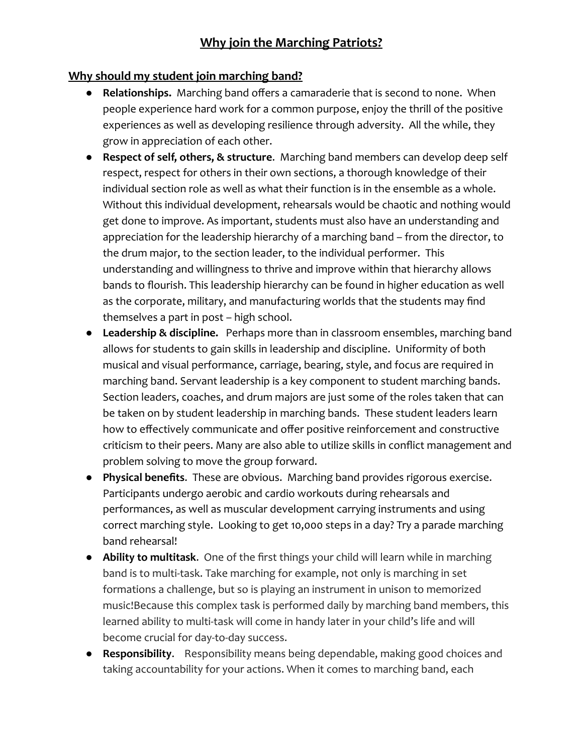## **Why should my student join marching band?**

- **Relationships.** Marching band offers a camaraderie that is second to none. When people experience hard work for a common purpose, enjoy the thrill of the positive experiences as well as developing resilience through adversity. All the while, they grow in appreciation of each other.
- **Respect of self, others, & structure**. Marching band members can develop deep self respect, respect for others in their own sections, a thorough knowledge of their individual section role as well as what their function is in the ensemble as a whole. Without this individual development, rehearsals would be chaotic and nothing would get done to improve. As important, students must also have an understanding and appreciation for the leadership hierarchy of a marching band – from the director, to the drum major, to the section leader, to the individual performer. This understanding and willingness to thrive and improve within that hierarchy allows bands to flourish. This leadership hierarchy can be found in higher education as well as the corporate, military, and manufacturing worlds that the students may find themselves a part in post – high school.
- **● Leadership & discipline.** Perhaps more than in classroom ensembles, marching band allows for students to gain skills in leadership and discipline. Uniformity of both musical and visual performance, carriage, bearing, style, and focus are required in marching band. Servant leadership is a key component to student marching bands. Section leaders, coaches, and drum majors are just some of the roles taken that can be taken on by student leadership in marching bands. These student leaders learn how to effectively communicate and offer positive reinforcement and constructive criticism to their peers. Many are also able to utilize skills in conflict management and problem solving to move the group forward.
- **Physical benefits**. These are obvious. Marching band provides rigorous exercise. Participants undergo aerobic and cardio workouts during rehearsals and performances, as well as muscular development carrying instruments and using correct marching style. Looking to get 10,000 steps in a day? Try a parade marching band rehearsal!
- **Ability to multitask**. One of the first things your child will learn while in marching band is to multi-task. Take marching for example, not only is marching in set formations a challenge, but so is playing an instrument in unison to memorized music!Because this complex task is performed daily by marching band members, this learned ability to multi-task will come in handy later in your child's life and will become crucial for day-to-day success.
- **Responsibility**. Responsibility means being dependable, making good choices and taking accountability for your actions. When it comes to marching band, each